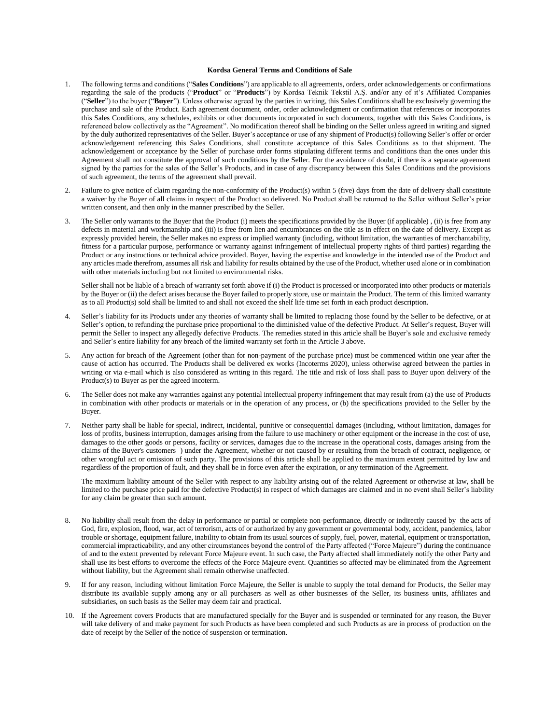## **Kordsa General Terms and Conditions of Sale**

- 1. The following terms and conditions ("**Sales Conditions**") are applicable to all agreements, orders, order acknowledgements or confirmations regarding the sale of the products ("**Product**" or "**Products**") by Kordsa Teknik Tekstil A.Ş. and/or any of it's Affiliated Companies ("**Seller**") to the buyer ("**Buyer**"). Unless otherwise agreed by the parties in writing, this Sales Conditions shall be exclusively governing the purchase and sale of the Product. Each agreement document, order, order acknowledgment or confirmation that references or incorporates this Sales Conditions, any schedules, exhibits or other documents incorporated in such documents, together with this Sales Conditions, is referenced below collectively as the "Agreement". No modification thereof shall be binding on the Seller unless agreed in writing and signed by the duly authorized representatives of the Seller. Buyer's acceptance or use of any shipment of Product(s) following Seller's offer or order acknowledgement referencing this Sales Conditions, shall constitute acceptance of this Sales Conditions as to that shipment. The acknowledgement or acceptance by the Seller of purchase order forms stipulating different terms and conditions than the ones under this Agreement shall not constitute the approval of such conditions by the Seller. For the avoidance of doubt, if there is a separate agreement signed by the parties for the sales of the Seller's Products, and in case of any discrepancy between this Sales Conditions and the provisions of such agreement, the terms of the agreement shall prevail.
- 2. Failure to give notice of claim regarding the non-conformity of the Product(s) within 5 (five) days from the date of delivery shall constitute a waiver by the Buyer of all claims in respect of the Product so delivered. No Product shall be returned to the Seller without Seller's prior written consent, and then only in the manner prescribed by the Seller.
- 3. The Seller only warrants to the Buyer that the Product (i) meets the specifications provided by the Buyer (if applicable) , (ii) is free from any defects in material and workmanship and (iii) is free from lien and encumbrances on the title as in effect on the date of delivery. Except as expressly provided herein, the Seller makes no express or implied warranty (including, without limitation, the warranties of merchantability, fitness for a particular purpose, performance or warranty against infringement of intellectual property rights of third parties) regarding the Product or any instructions or technical advice provided. Buyer, having the expertise and knowledge in the intended use of the Product and any articles made therefrom, assumes all risk and liability for results obtained by the use of the Product, whether used alone or in combination with other materials including but not limited to environmental risks.

Seller shall not be liable of a breach of warranty set forth above if (i) the Product is processed or incorporated into other products or materials by the Buyer or (ii) the defect arises because the Buyer failed to properly store, use or maintain the Product. The term of this limited warranty as to all Product(s) sold shall be limited to and shall not exceed the shelf life time set forth in each product description.

- 4. Seller's liability for its Products under any theories of warranty shall be limited to replacing those found by the Seller to be defective, or at Seller's option, to refunding the purchase price proportional to the diminished value of the defective Product. At Seller's request, Buyer will permit the Seller to inspect any allegedly defective Products. The remedies stated in this article shall be Buyer's sole and exclusive remedy and Seller's entire liability for any breach of the limited warranty set forth in the Article 3 above.
- 5. Any action for breach of the Agreement (other than for non-payment of the purchase price) must be commenced within one year after the cause of action has occurred. The Products shall be delivered ex works (Incoterms 2020), unless otherwise agreed between the parties in writing or via e-mail which is also considered as writing in this regard. The title and risk of loss shall pass to Buyer upon delivery of the Product(s) to Buyer as per the agreed incoterm.
- 6. The Seller does not make any warranties against any potential intellectual property infringement that may result from (a) the use of Products in combination with other products or materials or in the operation of any process, or (b) the specifications provided to the Seller by the Buyer.
- 7. Neither party shall be liable for special, indirect, incidental, punitive or consequential damages (including, without limitation, damages for loss of profits, business interruption, damages arising from the failure to use machinery or other equipment or the increase in the cost of use, damages to the other goods or persons, facility or services, damages due to the increase in the operational costs, damages arising from the claims of the Buyer's customers ) under the Agreement, whether or not caused by or resulting from the breach of contract, negligence, or other wrongful act or omission of such party. The provisions of this article shall be applied to the maximum extent permitted by law and regardless of the proportion of fault, and they shall be in force even after the expiration, or any termination of the Agreement.

The maximum liability amount of the Seller with respect to any liability arising out of the related Agreement or otherwise at law, shall be limited to the purchase price paid for the defective Product(s) in respect of which damages are claimed and in no event shall Seller's liability for any claim be greater than such amount.

- 8. No liability shall result from the delay in performance or partial or complete non-performance, directly or indirectly caused by the acts of God, fire, explosion, flood, war, act of terrorism, acts of or authorized by any government or governmental body, accident, pandemics, labor trouble or shortage, equipment failure, inability to obtain from its usual sources of supply, fuel, power, material, equipment or transportation, commercial impracticability, and any other circumstances beyond the control of the Party affected ("Force Majeure") during the continuance of and to the extent prevented by relevant Force Majeure event. In such case, the Party affected shall immediately notify the other Party and shall use its best efforts to overcome the effects of the Force Majeure event. Quantities so affected may be eliminated from the Agreement without liability, but the Agreement shall remain otherwise unaffected.
- 9. If for any reason, including without limitation Force Majeure, the Seller is unable to supply the total demand for Products, the Seller may distribute its available supply among any or all purchasers as well as other businesses of the Seller, its business units, affiliates and subsidiaries, on such basis as the Seller may deem fair and practical.
- 10. If the Agreement covers Products that are manufactured specially for the Buyer and is suspended or terminated for any reason, the Buyer will take delivery of and make payment for such Products as have been completed and such Products as are in process of production on the date of receipt by the Seller of the notice of suspension or termination.